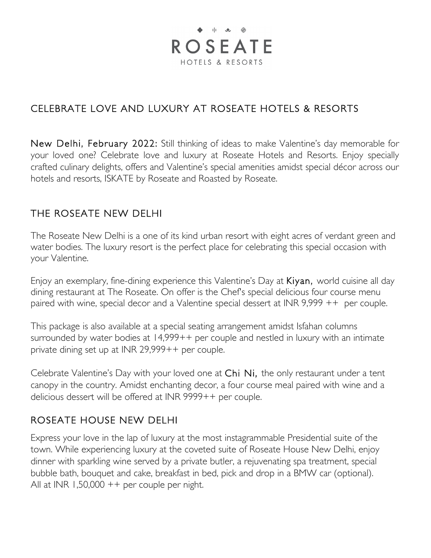# $\bullet$   $||$   $\bullet$   $\emptyset$ **ROSEATE** HOTELS & RESORTS

## CELEBRATE LOVE AND LUXURY AT ROSEATE HOTELS & RESORTS

New Delhi, February 2022: Still thinking of ideas to make Valentine's day memorable for your loved one? Celebrate love and luxury at Roseate Hotels and Resorts. Enjoy specially crafted culinary delights, offers and Valentine's special amenities amidst special décor across our hotels and resorts, ISKATE by Roseate and Roasted by Roseate.

#### THE ROSEATE NEW DELHI

The Roseate New Delhi is a one of its kind urban resort with eight acres of verdant green and water bodies. The luxury resort is the perfect place for celebrating this special occasion with your Valentine.

Enjoy an exemplary, fine-dining experience this Valentine's Day at Kiyan, world cuisine all day dining restaurant at The Roseate. On offer is the Chef's special delicious four course menu paired with wine, special decor and a Valentine special dessert at INR 9,999 ++ per couple.

This package is also available at a special seating arrangement amidst Isfahan columns surrounded by water bodies at 14,999++ per couple and nestled in luxury with an intimate private dining set up at INR 29,999++ per couple.

Celebrate Valentine's Day with your loved one at Chi Ni, the only restaurant under a tent canopy in the country. Amidst enchanting decor, a four course meal paired with wine and a delicious dessert will be offered at INR 9999++ per couple.

#### ROSEATE HOUSE NEW DELHI

Express your love in the lap of luxury at the most instagrammable Presidential suite of the town. While experiencing luxury at the coveted suite of Roseate House New Delhi, enjoy dinner with sparkling wine served by a private butler, a rejuvenating spa treatment, special bubble bath, bouquet and cake, breakfast in bed, pick and drop in a BMW car (optional). All at INR  $1,50,000++$  per couple per night.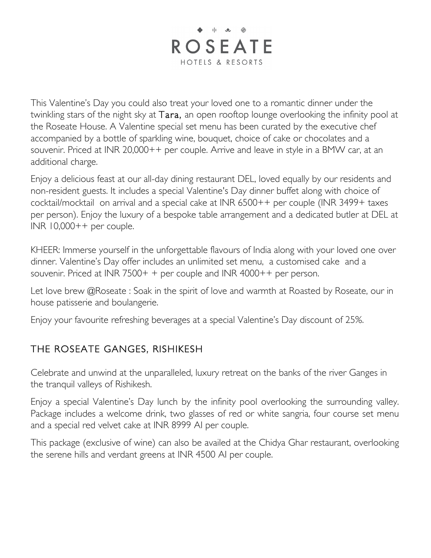

This Valentine's Day you could also treat your loved one to a romantic dinner under the twinkling stars of the night sky at Tara, an open rooftop lounge overlooking the infinity pool at the Roseate House. A Valentine special set menu has been curated by the executive chef accompanied by a bottle of sparkling wine, bouquet, choice of cake or chocolates and a souvenir. Priced at INR 20,000++ per couple. Arrive and leave in style in a BMW car, at an additional charge.

Enjoy a delicious feast at our all-day dining restaurant DEL, loved equally by our residents and non-resident guests. It includes a special Valentine's Day dinner buffet along with choice of cocktail/mocktail on arrival and a special cake at INR 6500++ per couple (INR 3499+ taxes per person). Enjoy the luxury of a bespoke table arrangement and a dedicated butler at DEL at  $INR$  10,000++ per couple.

KHEER: Immerse yourself in the unforgettable flavours of India along with your loved one over dinner. Valentine's Day offer includes an unlimited set menu, a customised cake and a souvenir. Priced at INR 7500+ + per couple and INR 4000++ per person.

Let love brew @Roseate: Soak in the spirit of love and warmth at Roasted by Roseate, our in house patisserie and boulangerie.

Enjoy your favourite refreshing beverages at a special Valentine's Day discount of 25%.

## THE ROSEATE GANGES, RISHIKESH

Celebrate and unwind at the unparalleled, luxury retreat on the banks of the river Ganges in the tranquil valleys of Rishikesh.

Enjoy a special Valentine's Day lunch by the infinity pool overlooking the surrounding valley. Package includes a welcome drink, two glasses of red or white sangria, four course set menu and a special red velvet cake at INR 8999 AI per couple.

This package (exclusive of wine) can also be availed at the Chidya Ghar restaurant, overlooking the serene hills and verdant greens at INR 4500 AI per couple.